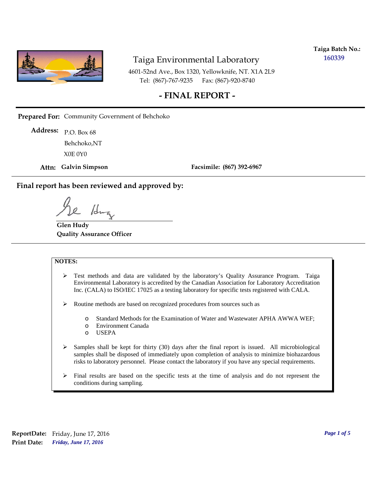

**Taiga Batch No.: 160339**

4601-52nd Ave., Box 1320, Yellowknife, NT. X1A 2L9 Tel: (867)-767-9235 Fax: (867)-920-8740

#### **- FINAL REPORT -**

**Prepared For:** Community Government of Behchoko

P.O. Box 68 **Address:** X0E 0Y0 Behchoko,NT

**Attn: Galvin Simpson**

**Facsimile: (867) 392-6967**

**Final report has been reviewed and approved by:**

1da

**Glen Hudy Quality Assurance Officer**

#### **NOTES:**

- $\triangleright$  Test methods and data are validated by the laboratory's Quality Assurance Program. Taiga Environmental Laboratory is accredited by the Canadian Association for Laboratory Accreditation Inc. (CALA) to ISO/IEC 17025 as a testing laboratory for specific tests registered with CALA.
- Routine methods are based on recognized procedures from sources such as
	- o Standard Methods for the Examination of Water and Wastewater APHA AWWA WEF;
	- o Environment Canada
	- o USEPA
- $\triangleright$  Samples shall be kept for thirty (30) days after the final report is issued. All microbiological samples shall be disposed of immediately upon completion of analysis to minimize biohazardous risks to laboratory personnel. Please contact the laboratory if you have any special requirements.
- $\triangleright$  Final results are based on the specific tests at the time of analysis and do not represent the conditions during sampling.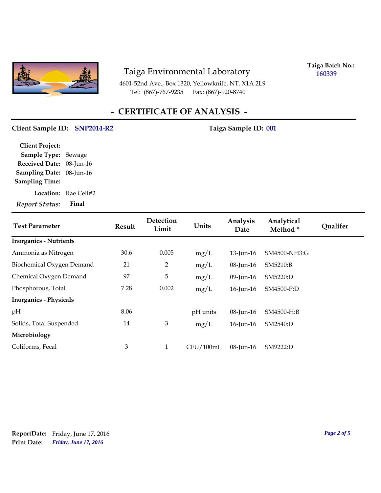

4601-52nd Ave., Box 1320, Yellowknife, NT. X1A 2L9 Tel: (867)-767-9235

**Taiga Batch No.: 160339**

# **- CERTIFICATE OF ANALYSIS -**

#### Client Sample ID: SNP2014-R2 Taiga Sample ID: 001

| <b>Client Project:</b>   |                             |
|--------------------------|-----------------------------|
| Sample Type: Sewage      |                             |
| Received Date: 08-Jun-16 |                             |
| Sampling Date: 08-Jun-16 |                             |
| <b>Sampling Time:</b>    |                             |
|                          | <b>Location:</b> Rae Cell#2 |
| <b>Report Status:</b>    | Final                       |

| <b>Test Parameter</b>         | <b>Result</b> | <b>Detection</b><br>Limit | Units     | Analysis<br>Date | Analytical<br>Method* | <b>Qualifer</b> |
|-------------------------------|---------------|---------------------------|-----------|------------------|-----------------------|-----------------|
| <b>Inorganics - Nutrients</b> |               |                           |           |                  |                       |                 |
| Ammonia as Nitrogen           | 30.6          | 0.005                     | mg/L      | $13$ -Jun-16     | SM4500-NH3:G          |                 |
| Biochemical Oxygen Demand     | 21            | 2                         | mg/L      | $08$ -Jun-16     | SM5210:B              |                 |
| Chemical Oxygen Demand        | 97            | 5                         | mg/L      | 09-Jun-16        | SM5220:D              |                 |
| Phosphorous, Total            | 7.28          | 0.002                     | mg/L      | 16-Jun-16        | SM4500-P:D            |                 |
| <b>Inorganics - Physicals</b> |               |                           |           |                  |                       |                 |
| pH                            | 8.06          |                           | pH units  | 08-Jun-16        | SM4500-H:B            |                 |
| Solids, Total Suspended       | 14            | 3                         | mg/L      | $16$ -Jun- $16$  | SM2540:D              |                 |
| Microbiology                  |               |                           |           |                  |                       |                 |
| Coliforms, Fecal              | 3             | $\mathbf{1}$              | CFU/100mL | $08$ -Jun-16     | SM9222:D              |                 |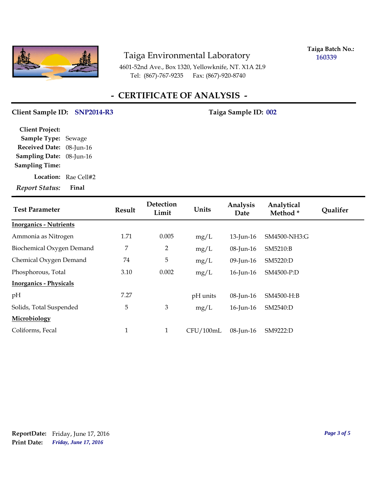

**Taiga Batch No.: 160339**

4601-52nd Ave., Box 1320, Yellowknife, NT. X1A 2L9 Tel: (867)-767-9235 Fax: (867)-920-8740

## **- CERTIFICATE OF ANALYSIS -**

#### Client Sample ID: SNP2014-R3 Taiga Sample ID: 002

**Location:** Rae Cell#2 **Sampling Date:** 08-Jun-16 **Received Date:** 08-Jun-16 **Client Project: Sample Type:** Sewage **Sampling Time:**

*Report Status:* **Final**

| <b>Test Parameter</b>         | <b>Result</b> | Detection<br>Limit | Units     | Analysis<br>Date | Analytical<br>Method * | <b>Qualifer</b> |
|-------------------------------|---------------|--------------------|-----------|------------------|------------------------|-----------------|
| <b>Inorganics - Nutrients</b> |               |                    |           |                  |                        |                 |
| Ammonia as Nitrogen           | 1.71          | 0.005              | mg/L      | $13$ -Jun-16     | SM4500-NH3:G           |                 |
| Biochemical Oxygen Demand     | 7             | $\overline{2}$     | mg/L      | 08-Jun-16        | SM5210:B               |                 |
| Chemical Oxygen Demand        | 74            | 5                  | mg/L      | 09-Jun-16        | SM5220:D               |                 |
| Phosphorous, Total            | 3.10          | 0.002              | mg/L      | 16-Jun-16        | SM4500-P:D             |                 |
| <b>Inorganics - Physicals</b> |               |                    |           |                  |                        |                 |
| pH                            | 7.27          |                    | pH units  | $08$ -Jun-16     | SM4500-H:B             |                 |
| Solids, Total Suspended       | 5             | 3                  | mg/L      | $16$ -Jun- $16$  | SM2540:D               |                 |
| Microbiology                  |               |                    |           |                  |                        |                 |
| Coliforms, Fecal              | $\mathbf{1}$  | $\mathbf{1}$       | CFU/100mL | 08-Jun-16        | SM9222:D               |                 |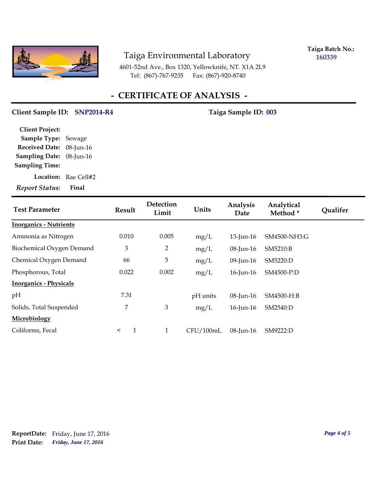

**Taiga Batch No.: 160339**

4601-52nd Ave., Box 1320, Yellowknife, NT. X1A 2L9 Tel: (867)-767-9235 Fax: (867)-920-8740

# **- CERTIFICATE OF ANALYSIS -**

#### Client Sample ID: SNP2014-R4 Taiga Sample ID: 003

| <b>Client Project:</b>   |                             |
|--------------------------|-----------------------------|
| Sample Type: Sewage      |                             |
| Received Date: 08-Jun-16 |                             |
| Sampling Date: 08-Jun-16 |                             |
| <b>Sampling Time:</b>    |                             |
|                          | <b>Location:</b> Rae Cell#2 |

*Report Status:* **Final**

| <b>Test Parameter</b>         | <b>Result</b>           | Detection<br>Limit | Units     | Analysis<br>Date | Analytical<br>Method * | <b>Qualifer</b> |
|-------------------------------|-------------------------|--------------------|-----------|------------------|------------------------|-----------------|
| <b>Inorganics - Nutrients</b> |                         |                    |           |                  |                        |                 |
| Ammonia as Nitrogen           | 0.010                   | 0.005              | mg/L      | $13$ -Jun-16     | SM4500-NH3:G           |                 |
| Biochemical Oxygen Demand     | 3                       | $\overline{2}$     | mg/L      | 08-Jun-16        | SM5210:B               |                 |
| Chemical Oxygen Demand        | 66                      | 5                  | mg/L      | 09-Jun-16        | SM5220:D               |                 |
| Phosphorous, Total            | 0.022                   | 0.002              | mg/L      | $16$ -Jun- $16$  | SM4500-P:D             |                 |
| <b>Inorganics - Physicals</b> |                         |                    |           |                  |                        |                 |
| pH                            | 7.31                    |                    | pH units  | 08-Jun-16        | SM4500-H:B             |                 |
| Solids, Total Suspended       | 7                       | $\mathfrak{B}$     | mg/L      | 16-Jun-16        | SM2540:D               |                 |
| Microbiology                  |                         |                    |           |                  |                        |                 |
| Coliforms, Fecal              | $\mathbf{1}$<br>$\prec$ | $\mathbf{1}$       | CFU/100mL | 08-Jun-16        | SM9222:D               |                 |